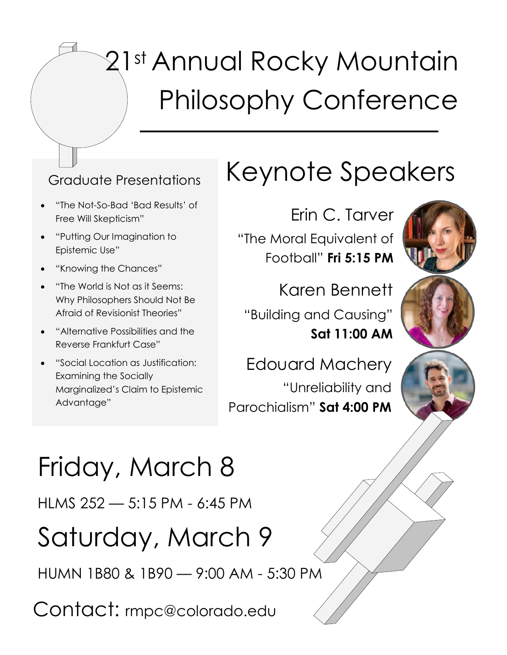# st Annual Rocky Mountain Philosophy Conference

- "The Not-So-Bad 'Bad Results' of Free Will Skepticism"
- "Putting Our Imagination to Epistemic Use"
- "Knowing the Chances"
- "The World is Not as it Seems: Why Philosophers Should Not Be Afraid of Revisionist Theories"
- "Alternative Possibilities and the Reverse Frankfurt Case"
- "Social Location as Justification: Examining the Socially Marginalized's Claim to Epistemic Advantage"

## Graduate Presentations Keynote Speakers

Erin C. Tarver "The Moral Equivalent of Football" **Fri 5:15 PM**

Karen Bennett "Building and Causing" **Sat 11:00 AM** 

Edouard Machery "Unreliability and Parochialism" **Sat 4:00 PM**







## Friday, March 8

HLMS 252 — 5:15 PM - 6:45 PM

## Saturday, March 9

HUMN 1B80 & 1B90 — 9:00 AM - 5:30 PM

Contact: rmpc@colorado.edu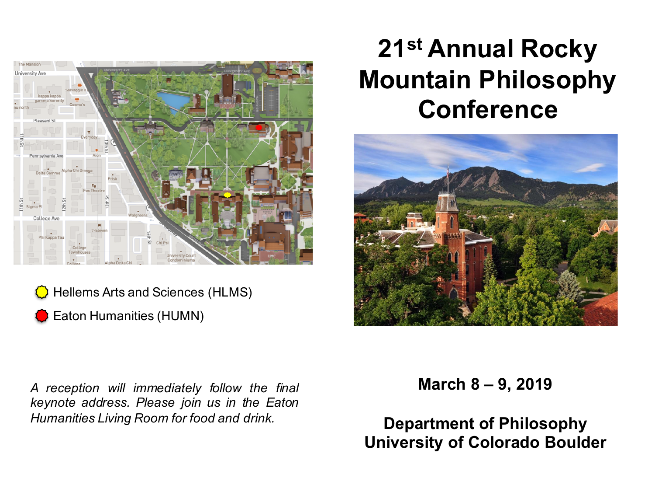

Hellems Arts and Sciences (HLMS)

Eaton Humanities (HUMN)

*A reception will immediately follow the final keynote address. Please join us in the Eaton Humanities Living Room for food and drink.*

## **21st Annual Rocky Mountain Philosophy Conference**



**March 8 – 9, 2019**

**Department of Philosophy University of Colorado Boulder**